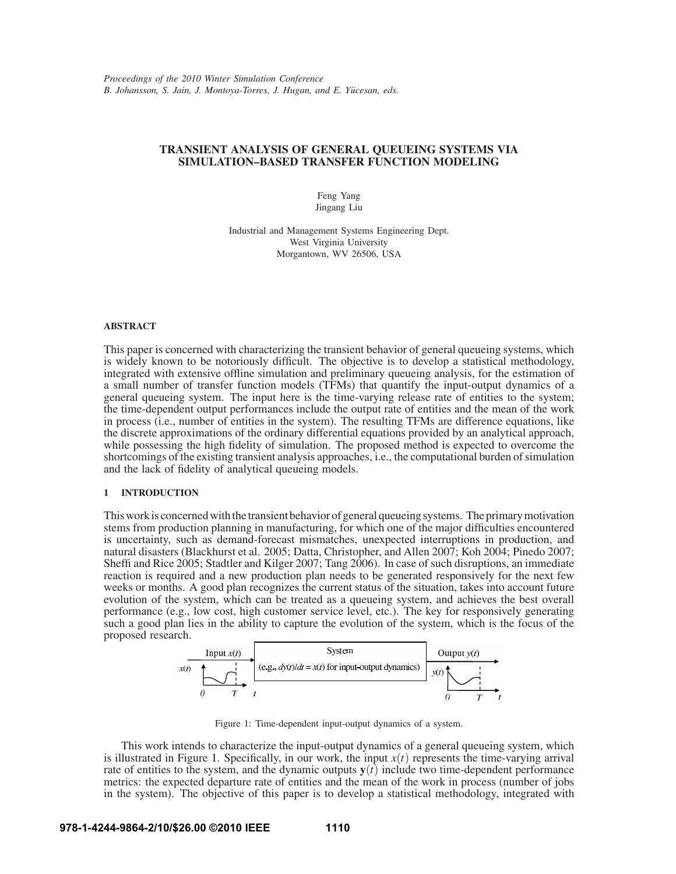# **TRANSIENT ANALYSIS OF GENERAL QUEUEING SYSTEMS VIA SIMULATION–BASED TRANSFER FUNCTION MODELING**

Feng Yang Jingang Liu

Industrial and Management Systems Engineering Dept. West Virginia University Morgantown, WV 26506, USA

# **ABSTRACT**

This paper is concerned with characterizing the transient behavior of general queueing systems, which is widely known to be notoriously difficult. The objective is to develop a statistical methodology, integrated with extensive offline simulation and preliminary queueing analysis, for the estimation of a small number of transfer function models (TFMs) that quantify the input-output dynamics of a general queueing system. The input here is the time-varying release rate of entities to the system; the time-dependent output performances include the output rate of entities and the mean of the work in process (i.e., number of entities in the system). The resulting TFMs are difference equations, like the discrete approximations of the ordinary differential equations provided by an analytical approach, while possessing the high fidelity of simulation. The proposed method is expected to overcome the shortcomings of the existing transient analysis approaches, i.e., the computational burden of simulation and the lack of fidelity of analytical queueing models.

## **1 INTRODUCTION**

This work is concerned with the transient behavior of general queueing systems. The primary motivation stems from production planning in manufacturing, for which one of the major difficulties encountered is uncertainty, such as demand-forecast mismatches, unexpected interruptions in production, and natural disasters (Blackhurst et al. 2005; Datta, Christopher, and Allen 2007; Koh 2004; Pinedo 2007; Sheffi and Rice 2005; Stadtler and Kilger 2007; Tang 2006). In case of such disruptions, an immediate reaction is required and a new production plan needs to be generated responsively for the next few weeks or months. A good plan recognizes the current status of the situation, takes into account future evolution of the system, which can be treated as a queueing system, and achieves the best overall performance (e.g., low cost, high customer service level, etc.). The key for responsively generating such a good plan lies in the ability to capture the evolution of the system, which is the focus of the proposed research.



Figure 1: Time-dependent input-output dynamics of a system.

This work intends to characterize the input-output dynamics of a general queueing system, which is illustrated in Figure 1. Specifically, in our work, the input  $x(t)$  represents the time-varying arrival rate of entities to the system, and the dynamic outputs  $y(t)$  include two time-dependent performance metrics: the expected departure rate of entities and the mean of the work in process (number of jobs in the system). The objective of this paper is to develop a statistical methodology, integrated with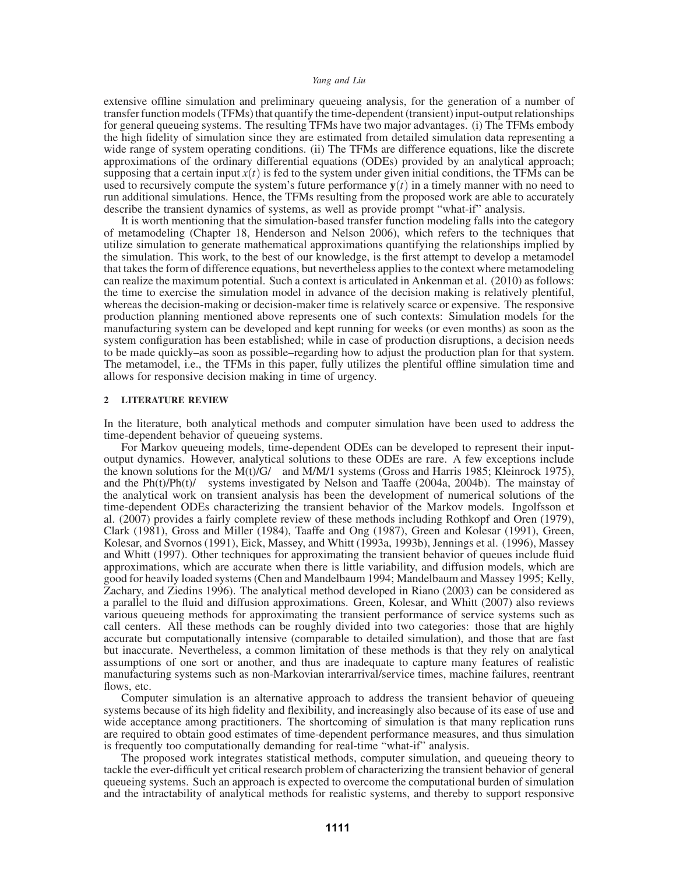extensive offline simulation and preliminary queueing analysis, for the generation of a number of transfer function models (TFMs) that quantify the time-dependent (transient) input-output relationships for general queueing systems. The resulting TFMs have two major advantages. (i) The TFMs embody the high fidelity of simulation since they are estimated from detailed simulation data representing a wide range of system operating conditions. (ii) The TFMs are difference equations, like the discrete approximations of the ordinary differential equations (ODEs) provided by an analytical approach; supposing that a certain input  $x(t)$  is fed to the system under given initial conditions, the TFMs can be used to recursively compute the system's future performance  $y(t)$  in a timely manner with no need to run additional simulations. Hence, the TFMs resulting from the proposed work are able to accurately describe the transient dynamics of systems, as well as provide prompt "what-if" analysis.

It is worth mentioning that the simulation-based transfer function modeling falls into the category of metamodeling (Chapter 18, Henderson and Nelson 2006), which refers to the techniques that utilize simulation to generate mathematical approximations quantifying the relationships implied by the simulation. This work, to the best of our knowledge, is the first attempt to develop a metamodel that takes the form of difference equations, but nevertheless applies to the context where metamodeling can realize the maximum potential. Such a context is articulated in Ankenman et al. (2010) as follows: the time to exercise the simulation model in advance of the decision making is relatively plentiful, whereas the decision-making or decision-maker time is relatively scarce or expensive. The responsive production planning mentioned above represents one of such contexts: Simulation models for the manufacturing system can be developed and kept running for weeks (or even months) as soon as the system configuration has been established; while in case of production disruptions, a decision needs to be made quickly–as soon as possible–regarding how to adjust the production plan for that system. The metamodel, i.e., the TFMs in this paper, fully utilizes the plentiful offline simulation time and allows for responsive decision making in time of urgency.

## **2 LITERATURE REVIEW**

In the literature, both analytical methods and computer simulation have been used to address the time-dependent behavior of queueing systems.

For Markov queueing models, time-dependent ODEs can be developed to represent their inputoutput dynamics. However, analytical solutions to these ODEs are rare. A few exceptions include the known solutions for the M(t)/G/ $\infty$  and M/M/1 systems (Gross and Harris 1985; Kleinrock 1975), and the Ph(t)/Ph(t)/∞ systems investigated by Nelson and Taaffe (2004a, 2004b). The mainstay of the analytical work on transient analysis has been the development of numerical solutions of the time-dependent ODEs characterizing the transient behavior of the Markov models. Ingolfsson et al. (2007) provides a fairly complete review of these methods including Rothkopf and Oren (1979), Clark (1981), Gross and Miller (1984), Taaffe and Ong (1987), Green and Kolesar (1991), Green, Kolesar, and Svornos (1991), Eick, Massey, and Whitt (1993a, 1993b), Jennings et al. (1996), Massey and Whitt (1997). Other techniques for approximating the transient behavior of queues include fluid approximations, which are accurate when there is little variability, and diffusion models, which are good for heavily loaded systems (Chen and Mandelbaum 1994; Mandelbaum and Massey 1995; Kelly, Zachary, and Ziedins 1996). The analytical method developed in Riano (2003) can be considered as a parallel to the fluid and diffusion approximations. Green, Kolesar, and Whitt (2007) also reviews various queueing methods for approximating the transient performance of service systems such as call centers. All these methods can be roughly divided into two categories: those that are highly accurate but computationally intensive (comparable to detailed simulation), and those that are fast but inaccurate. Nevertheless, a common limitation of these methods is that they rely on analytical assumptions of one sort or another, and thus are inadequate to capture many features of realistic manufacturing systems such as non-Markovian interarrival/service times, machine failures, reentrant flows, etc.

Computer simulation is an alternative approach to address the transient behavior of queueing systems because of its high fidelity and flexibility, and increasingly also because of its ease of use and wide acceptance among practitioners. The shortcoming of simulation is that many replication runs are required to obtain good estimates of time-dependent performance measures, and thus simulation is frequently too computationally demanding for real-time "what-if" analysis.

The proposed work integrates statistical methods, computer simulation, and queueing theory to tackle the ever-difficult yet critical research problem of characterizing the transient behavior of general queueing systems. Such an approach is expected to overcome the computational burden of simulation and the intractability of analytical methods for realistic systems, and thereby to support responsive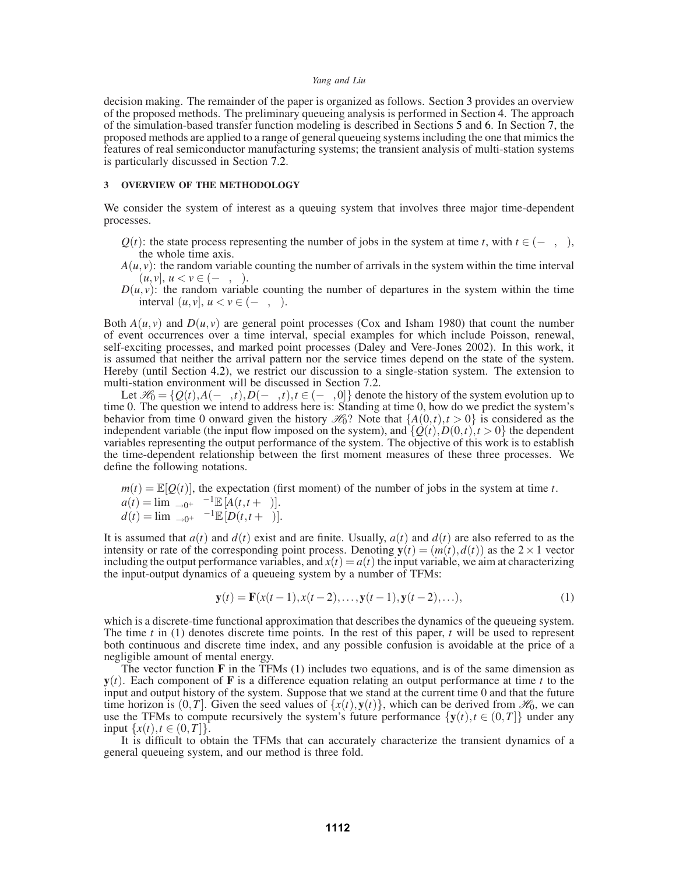decision making. The remainder of the paper is organized as follows. Section 3 provides an overview of the proposed methods. The preliminary queueing analysis is performed in Section 4. The approach of the simulation-based transfer function modeling is described in Sections 5 and 6. In Section 7, the proposed methods are applied to a range of general queueing systems including the one that mimics the features of real semiconductor manufacturing systems; the transient analysis of multi-station systems is particularly discussed in Section 7.2.

# **3 OVERVIEW OF THE METHODOLOGY**

We consider the system of interest as a queuing system that involves three major time-dependent processes.

- *Q*(*t*): the state process representing the number of jobs in the system at time *t*, with  $t \in (-\infty, \infty)$ , the whole time axis.
- $A(u, v)$ : the random variable counting the number of arrivals in the system within the time interval  $(u, v], u < v \in (-\infty, \infty).$
- $D(u, v)$ : the random variable counting the number of departures in the system within the time interval  $(u, v)$ ,  $u < v \in (-\infty, \infty)$ .

Both  $A(u, v)$  and  $D(u, v)$  are general point processes (Cox and Isham 1980) that count the number of event occurrences over a time interval, special examples for which include Poisson, renewal, self-exciting processes, and marked point processes (Daley and Vere-Jones 2002). In this work, it is assumed that neither the arrival pattern nor the service times depend on the state of the system. Hereby (until Section 4.2), we restrict our discussion to a single-station system. The extension to multi-station environment will be discussed in Section 7.2.

Let  $\mathcal{H}_0 = \{Q(t), A(-\infty, t), D(-\infty, t), t \in (-\infty, 0]\}\$  denote the history of the system evolution up to time 0. The question we intend to address here is: Standing at time 0, how do we predict the system's behavior from time 0 onward given the history  $\mathcal{H}_0$ ? Note that  $\{A(0,t), t > 0\}$  is considered as the independent variable (the input flow imposed on the system), and  $\{Q(t), D(0,t), t > 0\}$  the dependent variables representing the output performance of the system. The objective of this work is to establish the time-dependent relationship between the first moment measures of these three processes. We define the following notations.

 $m(t) = \mathbb{E}[Q(t)]$ , the expectation (first moment) of the number of jobs in the system at time *t*.  $a(t) = \lim_{\delta \to 0^+} \delta^{-1} \mathbb{E}[A(t, t + \delta)].$  $d(t) = \lim_{\delta \to 0^+} \delta^{-1} \mathbb{E}[D(t, t + \delta)].$ 

It is assumed that  $a(t)$  and  $d(t)$  exist and are finite. Usually,  $a(t)$  and  $d(t)$  are also referred to as the intensity or rate of the corresponding point process. Denoting  $\mathbf{y}(t) = (m(t), d(t))$  as the  $2 \times 1$  vector including the output performance variables, and  $x(t) = a(t)$  the input variable, we aim at characterizing the input-output dynamics of a queueing system by a number of TFMs:

$$
\mathbf{y}(t) = \mathbf{F}(x(t-1), x(t-2), \dots, \mathbf{y}(t-1), \mathbf{y}(t-2), \dots),
$$
\n(1)

which is a discrete-time functional approximation that describes the dynamics of the queueing system. The time *t* in (1) denotes discrete time points. In the rest of this paper, *t* will be used to represent both continuous and discrete time index, and any possible confusion is avoidable at the price of a negligible amount of mental energy.

The vector function **F** in the TFMs (1) includes two equations, and is of the same dimension as **. Each component of <b>F** is a difference equation relating an output performance at time *t* to the input and output history of the system. Suppose that we stand at the current time 0 and that the future time horizon is  $(0, T]$ . Given the seed values of  $\{x(t), y(t)\}$ , which can be derived from  $\mathcal{H}_0$ , we can use the TFMs to compute recursively the system's future performance  $\{y(t), t \in (0,T]\}$  under any input  $\{x(t), t \in (0, T]\}.$ 

It is difficult to obtain the TFMs that can accurately characterize the transient dynamics of a general queueing system, and our method is three fold.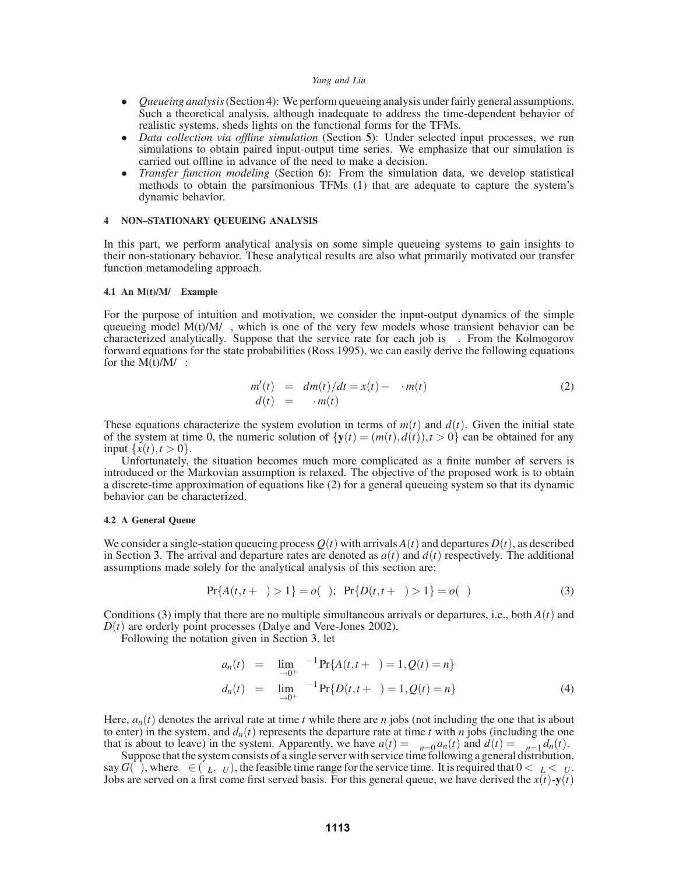- *Queueing analysis*(Section 4): We perform queueing analysis under fairly general assumptions. Such a theoretical analysis, although inadequate to address the time-dependent behavior of realistic systems, sheds lights on the functional forms for the TFMs.
- *Data collection via offline simulation* (Section 5): Under selected input processes, we run simulations to obtain paired input-output time series. We emphasize that our simulation is carried out offline in advance of the need to make a decision.
- *Transfer function modeling* (Section 6): From the simulation data, we develop statistical methods to obtain the parsimonious TFMs (1) that are adequate to capture the system's dynamic behavior.

#### **4 NON–STATIONARY QUEUEING ANALYSIS**

In this part, we perform analytical analysis on some simple queueing systems to gain insights to their non-stationary behavior. These analytical results are also what primarily motivated our transfer function metamodeling approach.

# **4.1 An M(t)/M/**∞ **Example**

For the purpose of intuition and motivation, we consider the input-output dynamics of the simple queueing model M(t)/M/∞, which is one of the very few models whose transient behavior can be characterized analytically. Suppose that the service rate for each job is  $\mu$ . From the Kolmogorov forward equations for the state probabilities (Ross 1995), we can easily derive the following equations for the  $M(t)/M/\infty$ :

$$
m'(t) = dm(t)/dt = x(t) - \mu \cdot m(t)
$$
  
\n
$$
d(t) = \mu \cdot m(t)
$$
\n(2)

These equations characterize the system evolution in terms of  $m(t)$  and  $d(t)$ . Given the initial state of the system at time 0, the numeric solution of  $\{y(t) = (m(t), d(t)), t > 0\}$  can be obtained for any input  $\{x(t), t > 0\}.$ 

Unfortunately, the situation becomes much more complicated as a finite number of servers is introduced or the Markovian assumption is relaxed. The objective of the proposed work is to obtain a discrete-time approximation of equations like (2) for a general queueing system so that its dynamic behavior can be characterized.

#### **4.2 A General Queue**

We consider a single-station queueing process  $Q(t)$  with arrivals  $A(t)$  and departures  $D(t)$ , as described in Section 3. The arrival and departure rates are denoted as  $a(t)$  and  $d(t)$  respectively. The additional assumptions made solely for the analytical analysis of this section are:

$$
Pr{A(t, t + \delta) > 1} = o(\delta); Pr{D(t, t + \delta) > 1} = o(\delta)
$$
\n(3)

Conditions (3) imply that there are no multiple simultaneous arrivals or departures, i.e., both *A*(*t*) and  $D(t)$  are orderly point processes (Dalye and Vere-Jones 2002).

Following the notation given in Section 3, let

$$
a_n(t) = \lim_{\delta \to 0^+} \delta^{-1} \Pr\{A(t, t + \delta) = 1, Q(t) = n\}
$$
  
\n
$$
d_n(t) = \lim_{\delta \to 0^+} \delta^{-1} \Pr\{D(t, t + \delta) = 1, Q(t) = n\}
$$
\n(4)

Here,  $a_n(t)$  denotes the arrival rate at time *t* while there are *n* jobs (not including the one that is about to enter) in the system, and  $d_n(t)$  represents the departure rate at time  $t$  with  $n$  jobs (including the one that is about to leave) in the system. Apparently, we have  $a(t) = \sum_{n=0}^{\infty} a_n(t)$  and  $d(t) = \sum_{n=1}^{\infty} d_n(t)$ .

Suppose that the system consists of a single server with service time following a general distribution, say  $G(\tau)$ , where  $\tau \in (\tau_L, \tau_U)$ , the feasible time range for the service time. It is required that  $0 < \tau_L < \tau_U$ . Jobs are served on a first come first served basis. For this general queue, we have derived the  $x(t)$ -y( $t$ )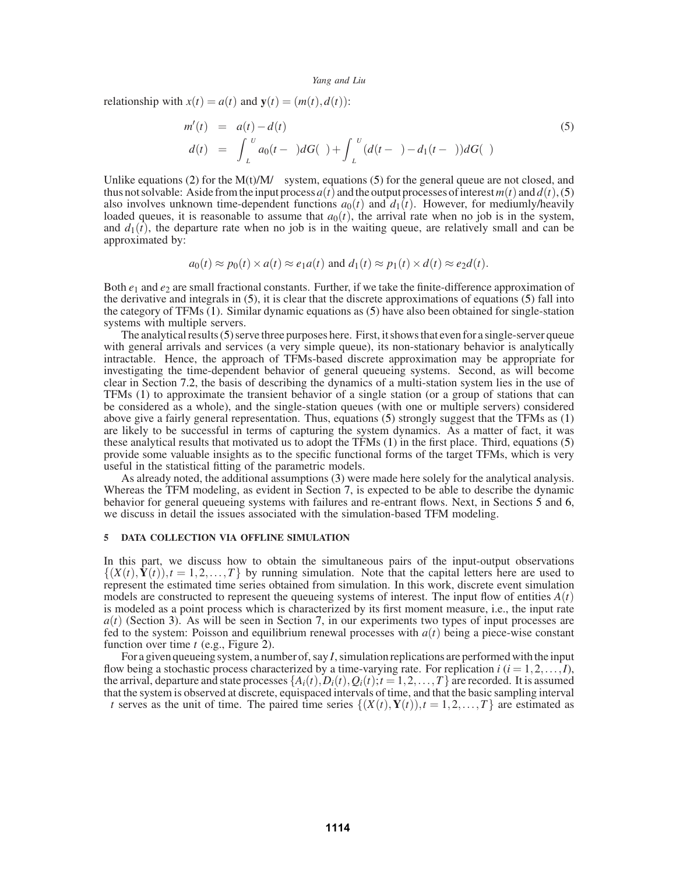relationship with  $x(t) = a(t)$  and  $\mathbf{v}(t) = (m(t), d(t))$ :

$$
m'(t) = a(t) - d(t)
$$
  
\n
$$
d(t) = \int_{\tau_L}^{\tau_U} a_0(t - \tau) dG(\tau) + \int_{\tau_L}^{\tau_U} (d(t - \tau) - d_1(t - \tau)) dG(\tau)
$$
\n(5)

Unlike equations (2) for the M(t)/M/ $\infty$  system, equations (5) for the general queue are not closed, and thus not solvable: Aside from the input process  $a(t)$  and the output processes of interest  $m(t)$  and  $d(t)$ , (5) also involves unknown time-dependent functions  $a_0(t)$  and  $d_1(t)$ . However, for mediumly/heavily loaded queues, it is reasonable to assume that  $a_0(t)$ , the arrival rate when no job is in the system, and  $d_1(t)$ , the departure rate when no job is in the waiting queue, are relatively small and can be approximated by:

$$
a_0(t) \approx p_0(t) \times a(t) \approx e_1 a(t)
$$
 and  $d_1(t) \approx p_1(t) \times d(t) \approx e_2 d(t)$ .

Both  $e_1$  and  $e_2$  are small fractional constants. Further, if we take the finite-difference approximation of the derivative and integrals in (5), it is clear that the discrete approximations of equations (5) fall into the category of TFMs (1). Similar dynamic equations as (5) have also been obtained for single-station systems with multiple servers.

The analytical results (5) serve three purposes here. First, it shows that even for a single-server queue with general arrivals and services (a very simple queue), its non-stationary behavior is analytically intractable. Hence, the approach of TFMs-based discrete approximation may be appropriate for investigating the time-dependent behavior of general queueing systems. Second, as will become clear in Section 7.2, the basis of describing the dynamics of a multi-station system lies in the use of TFMs (1) to approximate the transient behavior of a single station (or a group of stations that can be considered as a whole), and the single-station queues (with one or multiple servers) considered above give a fairly general representation. Thus, equations (5) strongly suggest that the TFMs as (1) are likely to be successful in terms of capturing the system dynamics. As a matter of fact, it was these analytical results that motivated us to adopt the TFMs (1) in the first place. Third, equations (5) provide some valuable insights as to the specific functional forms of the target TFMs, which is very useful in the statistical fitting of the parametric models.

As already noted, the additional assumptions (3) were made here solely for the analytical analysis. Whereas the TFM modeling, as evident in Section 7, is expected to be able to describe the dynamic behavior for general queueing systems with failures and re-entrant flows. Next, in Sections 5 and 6, we discuss in detail the issues associated with the simulation-based TFM modeling.

## **5 DATA COLLECTION VIA OFFLINE SIMULATION**

In this part, we discuss how to obtain the simultaneous pairs of the input-output observations  $\{(X(t), \mathbf{Y}(t)), t = 1, 2, \ldots, T\}$  by running simulation. Note that the capital letters here are used to represent the estimated time series obtained from simulation. In this work, discrete event simulation models are constructed to represent the queueing systems of interest. The input flow of entities  $A(t)$ is modeled as a point process which is characterized by its first moment measure, i.e., the input rate  $a(t)$  (Section 3). As will be seen in Section 7, in our experiments two types of input processes are fed to the system: Poisson and equilibrium renewal processes with  $a(t)$  being a piece-wise constant function over time *t* (e.g., Figure 2).

For a given queueing system, a number of, say *I*, simulation replications are performed with the input flow being a stochastic process characterized by a time-varying rate. For replication  $i$  ( $i = 1, 2, \ldots, I$ ), the arrival, departure and state processes  $\{A_i(t), D_i(t), Q_i(t); t = 1, 2, ..., T\}$  are recorded. It is assumed that the system is observed at discrete, equispaced intervals of time, and that the basic sampling interval  $\Delta t$  serves as the unit of time. The paired time series  $\{(X(t), Y(t)), t = 1, 2, ..., T\}$  are estimated as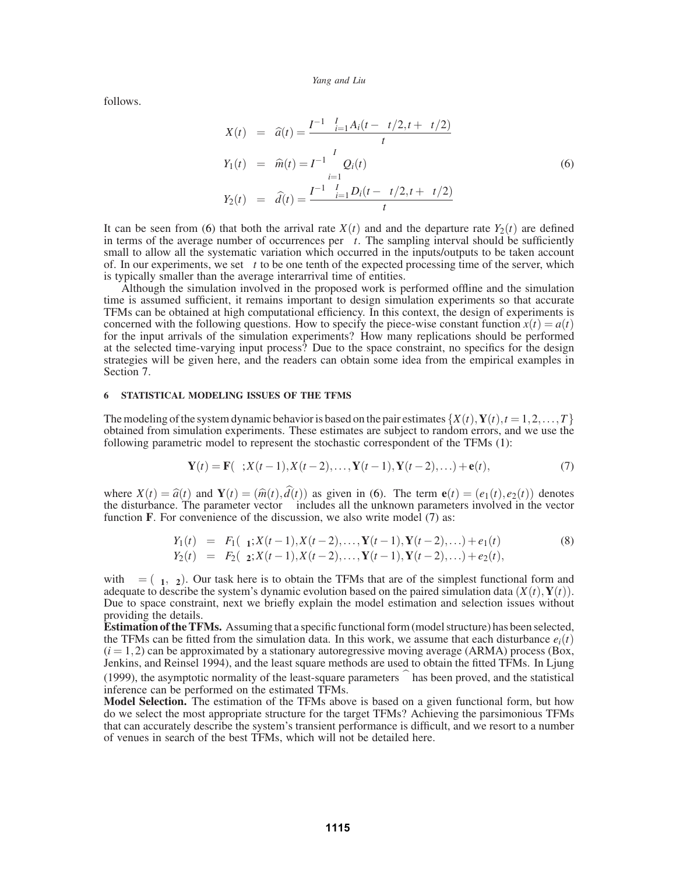follows.

$$
X(t) = \hat{a}(t) = \frac{I^{-1} \sum_{i=1}^{I} A_i(t - \Delta t / 2, t + \Delta t / 2)}{\Delta t}
$$
  
\n
$$
Y_1(t) = \hat{m}(t) = I^{-1} \sum_{i=1}^{I} Q_i(t)
$$
  
\n
$$
Y_2(t) = \hat{d}(t) = \frac{I^{-1} \sum_{i=1}^{I} D_i(t - \Delta t / 2, t + \Delta t / 2)}{\Delta t}
$$
\n(6)

It can be seen from (6) that both the arrival rate  $X(t)$  and and the departure rate  $Y_2(t)$  are defined in terms of the average number of occurrences per ∆*t*. The sampling interval should be sufficiently small to allow all the systematic variation which occurred in the inputs/outputs to be taken account of. In our experiments, we set ∆*t* to be one tenth of the expected processing time of the server, which is typically smaller than the average interarrival time of entities.

Although the simulation involved in the proposed work is performed offline and the simulation time is assumed sufficient, it remains important to design simulation experiments so that accurate TFMs can be obtained at high computational efficiency. In this context, the design of experiments is concerned with the following questions. How to specify the piece-wise constant function  $x(t) = a(t)$ for the input arrivals of the simulation experiments? How many replications should be performed at the selected time-varying input process? Due to the space constraint, no specifics for the design strategies will be given here, and the readers can obtain some idea from the empirical examples in Section 7.

# **6 STATISTICAL MODELING ISSUES OF THE TFMS**

The modeling of the system dynamic behavior is based on the pair estimates  $\{X(t), Y(t), t = 1, 2, ..., T\}$ obtained from simulation experiments. These estimates are subject to random errors, and we use the following parametric model to represent the stochastic correspondent of the TFMs (1):

$$
\mathbf{Y}(t) = \mathbf{F}(\theta; X(t-1), X(t-2), \dots, \mathbf{Y}(t-1), \mathbf{Y}(t-2), \dots) + \mathbf{e}(t),
$$
\n(7)

where  $X(t) = \hat{a}(t)$  and  $Y(t) = (\hat{m}(t), d(t))$  as given in (6). The term  $e(t) = (e_1(t), e_2(t))$  denotes the disturbance. The parameter vector  $\theta$  includes all the unknown parameters involved in the vector the disturbance. The parameter vector  $\theta$  includes all the unknown parameters involved in the vector function **F**. For convenience of the discussion, we also write model (7) as:

$$
Y_1(t) = F_1(\theta_1; X(t-1), X(t-2), ..., \mathbf{Y}(t-1), \mathbf{Y}(t-2), ...) + e_1(t)
$$
  
\n
$$
Y_2(t) = F_2(\theta_2; X(t-1), X(t-2), ..., \mathbf{Y}(t-1), \mathbf{Y}(t-2), ...) + e_2(t),
$$
\n(8)

with  $\theta = (\theta_1, \theta_2)$ . Our task here is to obtain the TFMs that are of the simplest functional form and adequate to describe the system's dynamic evolution based on the paired simulation data  $(X(t), Y(t))$ . Due to space constraint, next we briefly explain the model estimation and selection issues without providing the details.

**Estimation of the TFMs.** Assuming that a specific functional form (model structure) has been selected, the TFMs can be fitted from the simulation data. In this work, we assume that each disturbance  $e_i(t)$  $(i = 1, 2)$  can be approximated by a stationary autoregressive moving average (ARMA) process (Box, Jenkins, and Reinsel 1994), and the least square methods are used to obtain the fitted TFMs. In Ljung (1999), the asymptotic normality of the least-square parameters  $\theta$  has been proved, and the statistical

inference can be performed on the estimated TFMs. **Model Selection.** The estimation of the TFMs above is based on a given functional form, but how do we select the most appropriate structure for the target TFMs? Achieving the parsimonious TFMs that can accurately describe the system's transient performance is difficult, and we resort to a number of venues in search of the best TFMs, which will not be detailed here.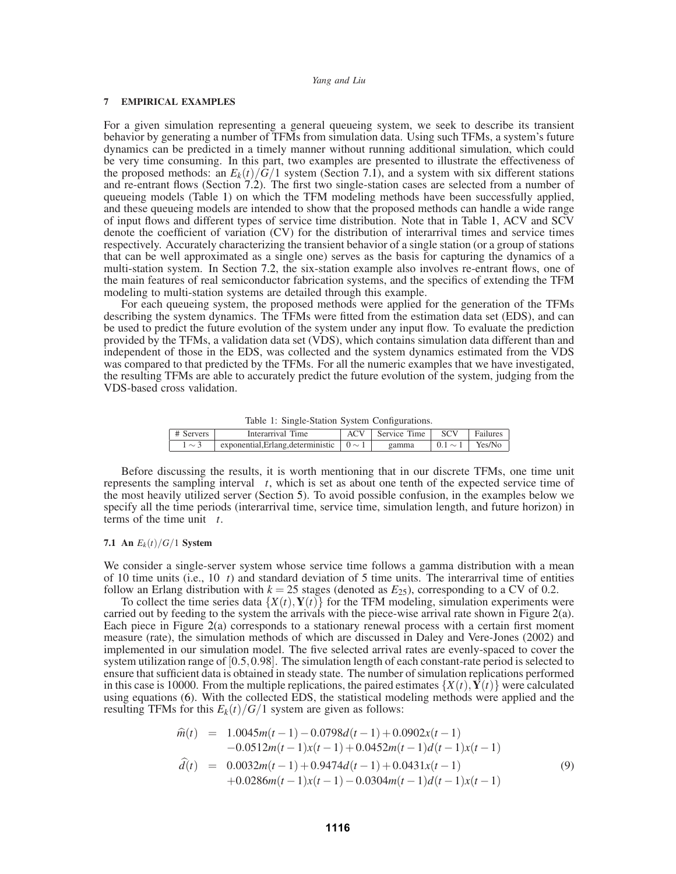# **7 EMPIRICAL EXAMPLES**

For a given simulation representing a general queueing system, we seek to describe its transient behavior by generating a number of TFMs from simulation data. Using such TFMs, a system's future dynamics can be predicted in a timely manner without running additional simulation, which could be very time consuming. In this part, two examples are presented to illustrate the effectiveness of the proposed methods: an  $E_k(t)/G/1$  system (Section 7.1), and a system with six different stations and re-entrant flows (Section 7.2). The first two single-station cases are selected from a number of queueing models (Table 1) on which the TFM modeling methods have been successfully applied, and these queueing models are intended to show that the proposed methods can handle a wide range of input flows and different types of service time distribution. Note that in Table 1, ACV and SCV denote the coefficient of variation (CV) for the distribution of interarrival times and service times respectively. Accurately characterizing the transient behavior of a single station (or a group of stations that can be well approximated as a single one) serves as the basis for capturing the dynamics of a multi-station system. In Section 7.2, the six-station example also involves re-entrant flows, one of the main features of real semiconductor fabrication systems, and the specifics of extending the TFM modeling to multi-station systems are detailed through this example.

For each queueing system, the proposed methods were applied for the generation of the TFMs describing the system dynamics. The TFMs were fitted from the estimation data set (EDS), and can be used to predict the future evolution of the system under any input flow. To evaluate the prediction provided by the TFMs, a validation data set (VDS), which contains simulation data different than and independent of those in the EDS, was collected and the system dynamics estimated from the VDS was compared to that predicted by the TFMs. For all the numeric examples that we have investigated, the resulting TFMs are able to accurately predict the future evolution of the system, judging from the VDS-based cross validation.

|  |  |  |  |  | Table 1: Single-Station System Configurations. |
|--|--|--|--|--|------------------------------------------------|
|--|--|--|--|--|------------------------------------------------|

| # Servers  | Interarrival Time | ACV Service Time SCV Failures |  |
|------------|-------------------|-------------------------------|--|
| $1 \sim 3$ |                   |                               |  |

Before discussing the results, it is worth mentioning that in our discrete TFMs, one time unit represents the sampling interval ∆*t*, which is set as about one tenth of the expected service time of the most heavily utilized server (Section 5). To avoid possible confusion, in the examples below we specify all the time periods (interarrival time, service time, simulation length, and future horizon) in terms of the time unit ∆*t*.

## **7.1 An** *Ek*(*t*)/*G*/1 **System**

We consider a single-server system whose service time follows a gamma distribution with a mean of 10 time units (i.e., 10∆*t*) and standard deviation of 5 time units. The interarrival time of entities follow an Erlang distribution with  $k = 25$  stages (denoted as  $E_{25}$ ), corresponding to a CV of 0.2.

To collect the time series data  $\{X(t), Y(t)\}$  for the TFM modeling, simulation experiments were carried out by feeding to the system the arrivals with the piece-wise arrival rate shown in Figure 2(a). Each piece in Figure 2(a) corresponds to a stationary renewal process with a certain first moment measure (rate), the simulation methods of which are discussed in Daley and Vere-Jones (2002) and implemented in our simulation model. The five selected arrival rates are evenly-spaced to cover the system utilization range of [0.5,0.98]. The simulation length of each constant-rate period is selected to ensure that sufficient data is obtained in steady state. The number of simulation replications performed in this case is 10000. From the multiple replications, the paired estimates  $\{X(t), Y(t)\}$  were calculated using equations (6). With the collected EDS, the statistical modeling methods were applied and the resulting TFMs for this  $E_k(t)/G/1$  system are given as follows:

$$
\begin{aligned}\n\widehat{m}(t) &= 1.0045m(t-1) - 0.0798d(t-1) + 0.0902x(t-1) \\
&- 0.0512m(t-1)x(t-1) + 0.0452m(t-1)d(t-1)x(t-1) \\
\widehat{d}(t) &= 0.0032m(t-1) + 0.9474d(t-1) + 0.0431x(t-1) \\
&+ 0.0286m(t-1)x(t-1) - 0.0304m(t-1)d(t-1)x(t-1)\n\end{aligned} \tag{9}
$$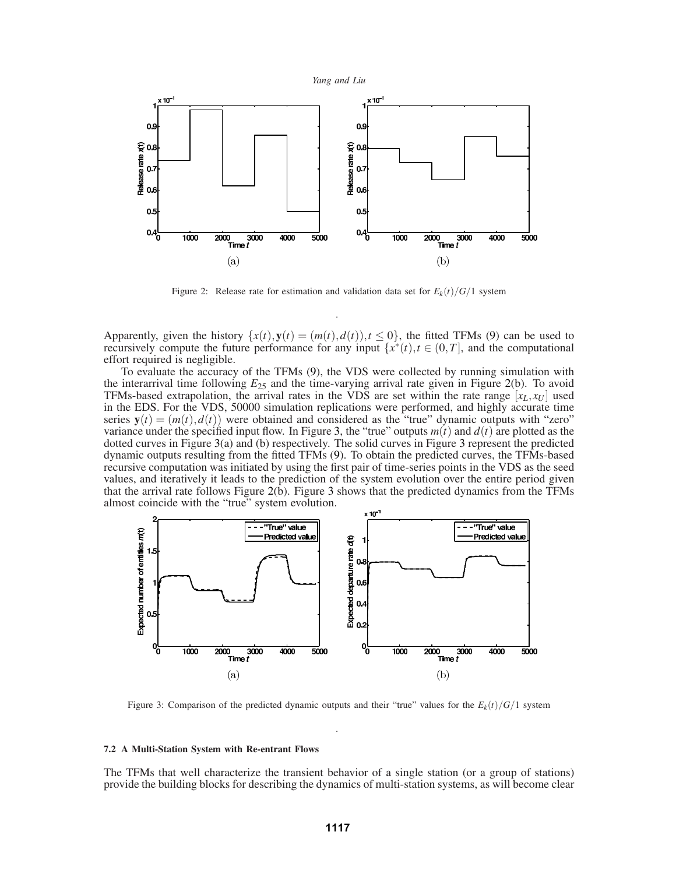



Figure 2: Release rate for estimation and validation data set for  $E_k(t)/G/1$  system

.

Apparently, given the history  $\{x(t), y(t) = (m(t), d(t)), t \le 0\}$ , the fitted TFMs (9) can be used to recursively compute the future performance for any input  ${x^*(t), t \in (0,T]}$ , and the computational effort required is negligible.

To evaluate the accuracy of the TFMs (9), the VDS were collected by running simulation with the interarrival time following  $E_{25}$  and the time-varying arrival rate given in Figure 2(b). To avoid TFMs-based extrapolation, the arrival rates in the VDS are set within the rate range  $[x_L, x_U]$  used in the EDS. For the VDS, 50000 simulation replications were performed, and highly accurate time series  $\mathbf{y}(t) = (m(t), d(t))$  were obtained and considered as the "true" dynamic outputs with "zero" variance under the specified input flow. In Figure 3, the "true" outputs  $m(t)$  and  $d(t)$  are plotted as the dotted curves in Figure 3(a) and (b) respectively. The solid curves in Figure 3 represent the predicted dynamic outputs resulting from the fitted TFMs (9). To obtain the predicted curves, the TFMs-based recursive computation was initiated by using the first pair of time-series points in the VDS as the seed values, and iteratively it leads to the prediction of the system evolution over the entire period given that the arrival rate follows Figure 2(b). Figure 3 shows that the predicted dynamics from the TFMs almost coincide with the "true" system evolution.



Figure 3: Comparison of the predicted dynamic outputs and their "true" values for the  $E_k(t)/G/1$  system

.

#### **7.2 A Multi-Station System with Re-entrant Flows**

The TFMs that well characterize the transient behavior of a single station (or a group of stations) provide the building blocks for describing the dynamics of multi-station systems, as will become clear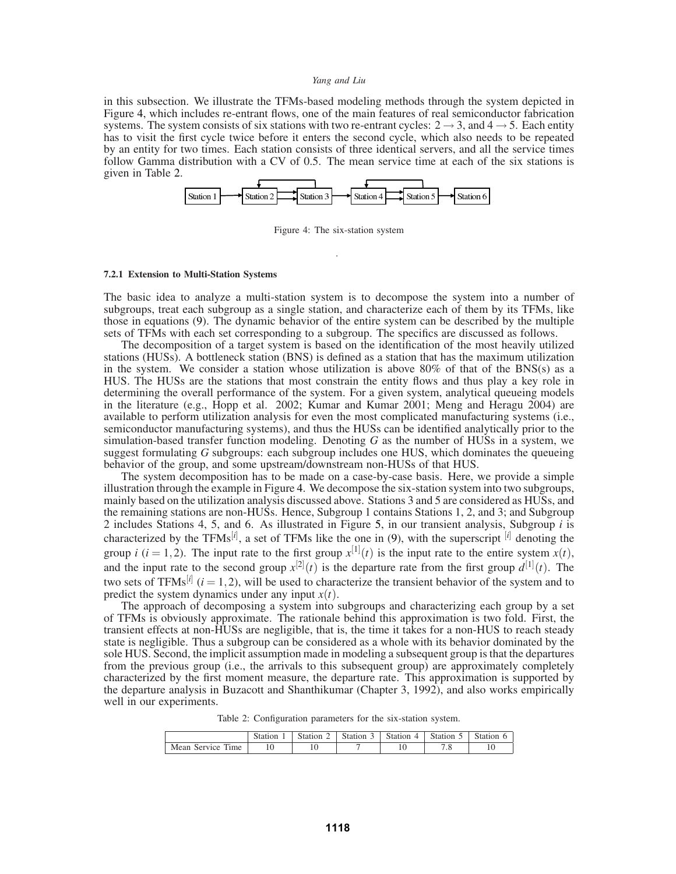in this subsection. We illustrate the TFMs-based modeling methods through the system depicted in Figure 4, which includes re-entrant flows, one of the main features of real semiconductor fabrication systems. The system consists of six stations with two re-entrant cycles:  $2 \rightarrow 3$ , and  $4 \rightarrow 5$ . Each entity has to visit the first cycle twice before it enters the second cycle, which also needs to be repeated by an entity for two times. Each station consists of three identical servers, and all the service times follow Gamma distribution with a CV of 0.5. The mean service time at each of the six stations is given in Table 2.



Figure 4: The six-station system

.

## **7.2.1 Extension to Multi-Station Systems**

The basic idea to analyze a multi-station system is to decompose the system into a number of subgroups, treat each subgroup as a single station, and characterize each of them by its TFMs, like those in equations (9). The dynamic behavior of the entire system can be described by the multiple sets of TFMs with each set corresponding to a subgroup. The specifics are discussed as follows.

The decomposition of a target system is based on the identification of the most heavily utilized stations (HUSs). A bottleneck station (BNS) is defined as a station that has the maximum utilization in the system. We consider a station whose utilization is above  $80\%$  of that of the BNS(s) as a HUS. The HUSs are the stations that most constrain the entity flows and thus play a key role in determining the overall performance of the system. For a given system, analytical queueing models in the literature (e.g., Hopp et al. 2002; Kumar and Kumar 2001; Meng and Heragu 2004) are available to perform utilization analysis for even the most complicated manufacturing systems (i.e., semiconductor manufacturing systems), and thus the HUSs can be identified analytically prior to the simulation-based transfer function modeling. Denoting *G* as the number of HUSs in a system, we suggest formulating *G* subgroups: each subgroup includes one HUS, which dominates the queueing behavior of the group, and some upstream/downstream non-HUSs of that HUS.

The system decomposition has to be made on a case-by-case basis. Here, we provide a simple illustration through the example in Figure 4. We decompose the six-station system into two subgroups, mainly based on the utilization analysis discussed above. Stations 3 and 5 are considered as HUSs, and the remaining stations are non-HUSs. Hence, Subgroup 1 contains Stations 1, 2, and 3; and Subgroup 2 includes Stations 4, 5, and 6. As illustrated in Figure 5, in our transient analysis, Subgroup *i* is characterized by the TFMs[*i*] , a set of TFMs like the one in (9), with the superscript [*i*] denoting the group *i* (*i* = 1,2). The input rate to the first group  $x^{[1]}(t)$  is the input rate to the entire system  $x(t)$ , and the input rate to the second group  $x^{[2]}(t)$  is the departure rate from the first group  $d^{[1]}(t)$ . The two sets of TFMs<sup>[*i*]</sup> (*i* = 1,2), will be used to characterize the transient behavior of the system and to predict the system dynamics under any input  $x(t)$ .

The approach of decomposing a system into subgroups and characterizing each group by a set of TFMs is obviously approximate. The rationale behind this approximation is two fold. First, the transient effects at non-HUSs are negligible, that is, the time it takes for a non-HUS to reach steady state is negligible. Thus a subgroup can be considered as a whole with its behavior dominated by the sole HUS. Second, the implicit assumption made in modeling a subsequent group is that the departures from the previous group (i.e., the arrivals to this subsequent group) are approximately completely characterized by the first moment measure, the departure rate. This approximation is supported by the departure analysis in Buzacott and Shanthikumar (Chapter 3, 1992), and also works empirically well in our experiments.

|  | Table 2: Configuration parameters for the six-station system. |  |  |  |  |  |  |
|--|---------------------------------------------------------------|--|--|--|--|--|--|
|--|---------------------------------------------------------------|--|--|--|--|--|--|

|                        | station | Station | Station | Station 4 | Station         | Station |
|------------------------|---------|---------|---------|-----------|-----------------|---------|
| Mean<br>Service<br>ime |         |         |         |           | $\cdot$ $\circ$ |         |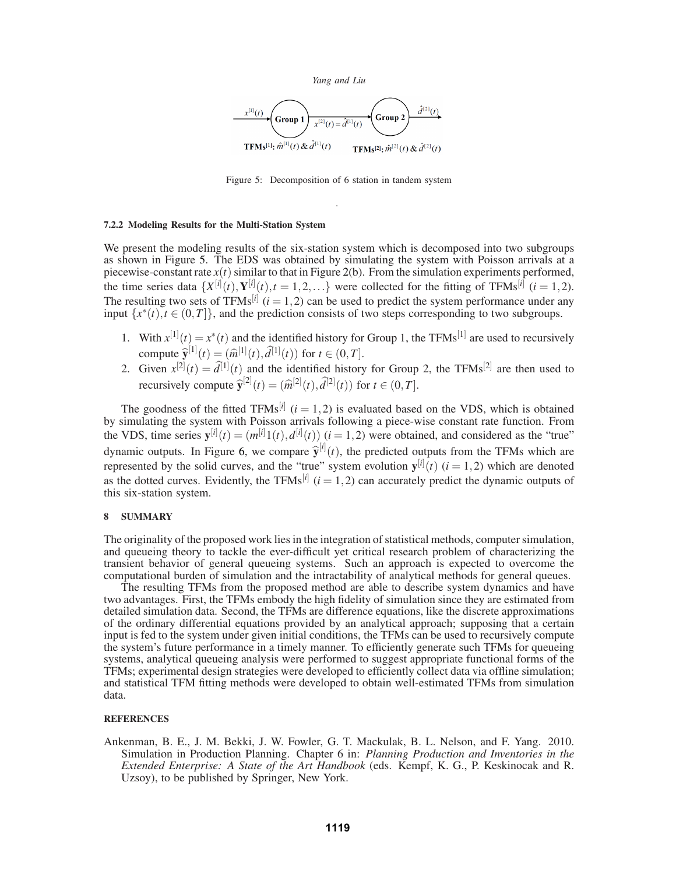



Figure 5: Decomposition of 6 station in tandem system

.

# **7.2.2 Modeling Results for the Multi-Station System**

We present the modeling results of the six-station system which is decomposed into two subgroups as shown in Figure 5. The EDS was obtained by simulating the system with Poisson arrivals at a piecewise-constant rate  $x(t)$  similar to that in Figure 2(b). From the simulation experiments performed, the time series data  $\{X^{[i]}(t), Y^{[i]}(t), t = 1, 2, \ldots\}$  were collected for the fitting of TFMs<sup>[*i*]</sup> (*i* = 1,2). The resulting two sets of TFMs<sup>[*i*]</sup> ( $i = 1, 2$ ) can be used to predict the system performance under any input  ${x^*(t), t \in (0,T]}$ , and the prediction consists of two steps corresponding to two subgroups.

- 1. With  $x^{[1]}(t) = x^*(t)$  and the identified history for Group 1, the TFMs<sup>[1]</sup> are used to recursively compute  $\hat{\mathbf{y}}^{[1]}(t) = (\hat{m}^{[1]}(t), \hat{d}^{[1]}(t))$  for  $t \in (0, T]$ .
- 2. Given  $x^{[2]}(t) = \hat{d}^{[1]}(t)$  and the identified history for Group 2, the TFMs<sup>[2]</sup> are then used to recursively compute  $\widehat{\mathbf{y}}^{[2]}(t) = (\widehat{m}^{[2]}(t), \widehat{d}^{[2]}(t))$  for  $t \in (0, T]$ .

The goodness of the fitted TFMs<sup>[*i*]</sup> ( $i = 1, 2$ ) is evaluated based on the VDS, which is obtained by simulating the system with Poisson arrivals following a piece-wise constant rate function. From the VDS, time series  $\mathbf{y}^{[i]}(t) = (m^{[i]}1(t), d^{[i]}(t))$  (*i* = 1,2) were obtained, and considered as the "true" dynamic outputs. In Figure 6, we compare  $\hat{\mathbf{y}}^{[i]}(t)$ , the predicted outputs from the TFMs which are represented by the solid curves, and the "true" system evolution  $y^{[i]}(t)$  ( $i = 1, 2$ ) which are denoted as the dotted curves. Evidently, the TFMs<sup>[*i*]</sup> ( $i = 1, 2$ ) can accurately predict the dynamic outputs of this six-station system.

## **8 SUMMARY**

The originality of the proposed work lies in the integration of statistical methods, computer simulation, and queueing theory to tackle the ever-difficult yet critical research problem of characterizing the transient behavior of general queueing systems. Such an approach is expected to overcome the computational burden of simulation and the intractability of analytical methods for general queues.

The resulting TFMs from the proposed method are able to describe system dynamics and have two advantages. First, the TFMs embody the high fidelity of simulation since they are estimated from detailed simulation data. Second, the TFMs are difference equations, like the discrete approximations of the ordinary differential equations provided by an analytical approach; supposing that a certain input is fed to the system under given initial conditions, the TFMs can be used to recursively compute the system's future performance in a timely manner. To efficiently generate such TFMs for queueing systems, analytical queueing analysis were performed to suggest appropriate functional forms of the TFMs; experimental design strategies were developed to efficiently collect data via offline simulation; and statistical TFM fitting methods were developed to obtain well-estimated TFMs from simulation data.

## **REFERENCES**

Ankenman, B. E., J. M. Bekki, J. W. Fowler, G. T. Mackulak, B. L. Nelson, and F. Yang. 2010. Simulation in Production Planning. Chapter 6 in: *Planning Production and Inventories in the Extended Enterprise: A State of the Art Handbook* (eds. Kempf, K. G., P. Keskinocak and R. Uzsoy), to be published by Springer, New York.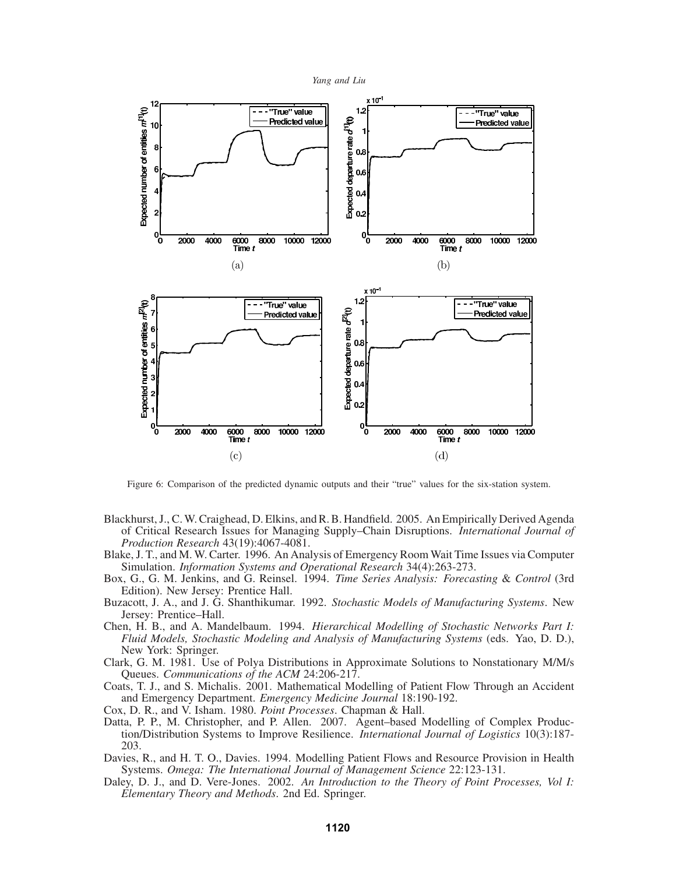



Figure 6: Comparison of the predicted dynamic outputs and their "true" values for the six-station system.

- Blackhurst, J., C. W. Craighead, D. Elkins, and R. B. Handfield. 2005. An Empirically Derived Agenda of Critical Research Issues for Managing Supply–Chain Disruptions. *International Journal of Production Research* 43(19):4067-4081.
- Blake, J. T., and M. W. Carter. 1996. An Analysis of Emergency Room Wait Time Issues via Computer Simulation. *Information Systems and Operational Research* 34(4):263-273.
- Box, G., G. M. Jenkins, and G. Reinsel. 1994. *Time Series Analysis: Forecasting* & *Control* (3rd Edition). New Jersey: Prentice Hall.
- Buzacott, J. A., and J. G. Shanthikumar. 1992. *Stochastic Models of Manufacturing Systems*. New Jersey: Prentice–Hall.
- Chen, H. B., and A. Mandelbaum. 1994. *Hierarchical Modelling of Stochastic Networks Part I: Fluid Models, Stochastic Modeling and Analysis of Manufacturing Systems* (eds. Yao, D. D.), New York: Springer.
- Clark, G. M. 1981. Use of Polya Distributions in Approximate Solutions to Nonstationary M/M/s Queues. *Communications of the ACM* 24:206-217.
- Coats, T. J., and S. Michalis. 2001. Mathematical Modelling of Patient Flow Through an Accident and Emergency Department. *Emergency Medicine Journal* 18:190-192.
- Cox, D. R., and V. Isham. 1980. *Point Processes*. Chapman & Hall.
- Datta, P. P., M. Christopher, and P. Allen. 2007. Agent–based Modelling of Complex Production/Distribution Systems to Improve Resilience. *International Journal of Logistics* 10(3):187- 203.
- Davies, R., and H. T. O., Davies. 1994. Modelling Patient Flows and Resource Provision in Health Systems. *Omega: The International Journal of Management Science* 22:123-131.
- Daley, D. J., and D. Vere-Jones. 2002. *An Introduction to the Theory of Point Processes, Vol I: Elementary Theory and Methods*. 2nd Ed. Springer.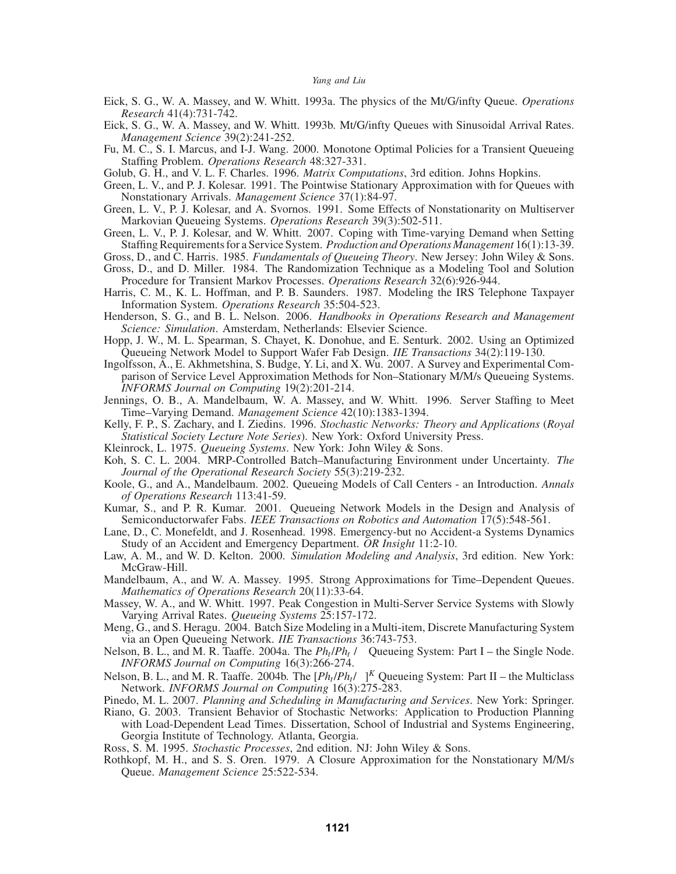- Eick, S. G., W. A. Massey, and W. Whitt. 1993a. The physics of the Mt/G/infty Queue. *Operations Research* 41(4):731-742.
- Eick, S. G., W. A. Massey, and W. Whitt. 1993b. Mt/G/infty Queues with Sinusoidal Arrival Rates. *Management Science* 39(2):241-252.
- Fu, M. C., S. I. Marcus, and I-J. Wang. 2000. Monotone Optimal Policies for a Transient Queueing Staffing Problem. *Operations Research* 48:327-331.
- Golub, G. H., and V. L. F. Charles. 1996. *Matrix Computations*, 3rd edition. Johns Hopkins.
- Green, L. V., and P. J. Kolesar. 1991. The Pointwise Stationary Approximation with for Queues with Nonstationary Arrivals. *Management Science* 37(1):84-97.
- Green, L. V., P. J. Kolesar, and A. Svornos. 1991. Some Effects of Nonstationarity on Multiserver Markovian Queueing Systems. *Operations Research* 39(3):502-511.
- Green, L. V., P. J. Kolesar, and W. Whitt. 2007. Coping with Time-varying Demand when Setting Staffing Requirements for a Service System. *Production and Operations Management* 16(1):13-39.
- Gross, D., and C. Harris. 1985. *Fundamentals of Queueing Theory*. New Jersey: John Wiley & Sons.
- Gross, D., and D. Miller. 1984. The Randomization Technique as a Modeling Tool and Solution Procedure for Transient Markov Processes. *Operations Research* 32(6):926-944.
- Harris, C. M., K. L. Hoffman, and P. B. Saunders. 1987. Modeling the IRS Telephone Taxpayer Information System. *Operations Research* 35:504-523.
- Henderson, S. G., and B. L. Nelson. 2006. *Handbooks in Operations Research and Management Science: Simulation*. Amsterdam, Netherlands: Elsevier Science.
- Hopp, J. W., M. L. Spearman, S. Chayet, K. Donohue, and E. Senturk. 2002. Using an Optimized Queueing Network Model to Support Wafer Fab Design. *IIE Transactions* 34(2):119-130.
- Ingolfsson, A., E. Akhmetshina, S. Budge, Y. Li, and X. Wu. 2007. A Survey and Experimental Comparison of Service Level Approximation Methods for Non–Stationary M/M/s Queueing Systems. *INFORMS Journal on Computing* 19(2):201-214.
- Jennings, O. B., A. Mandelbaum, W. A. Massey, and W. Whitt. 1996. Server Staffing to Meet Time–Varying Demand. *Management Science* 42(10):1383-1394.
- Kelly, F. P., S. Zachary, and I. Ziedins. 1996. *Stochastic Networks: Theory and Applications* (*Royal Statistical Society Lecture Note Series*). New York: Oxford University Press.
- Kleinrock, L. 1975. *Queueing Systems*. New York: John Wiley & Sons.
- Koh, S. C. L. 2004. MRP-Controlled Batch–Manufacturing Environment under Uncertainty. *The Journal of the Operational Research Society* 55(3):219-232.
- Koole, G., and A., Mandelbaum. 2002. Queueing Models of Call Centers an Introduction. *Annals of Operations Research* 113:41-59.
- Kumar, S., and P. R. Kumar. 2001. Queueing Network Models in the Design and Analysis of Semiconductorwafer Fabs. *IEEE Transactions on Robotics and Automation* 17(5):548-561.
- Lane, D., C. Monefeldt, and J. Rosenhead. 1998. Emergency-but no Accident-a Systems Dynamics Study of an Accident and Emergency Department. *OR Insight* 11:2-10.
- Law, A. M., and W. D. Kelton. 2000. *Simulation Modeling and Analysis*, 3rd edition. New York: McGraw-Hill.
- Mandelbaum, A., and W. A. Massey. 1995. Strong Approximations for Time–Dependent Queues. *Mathematics of Operations Research* 20(11):33-64.
- Massey, W. A., and W. Whitt. 1997. Peak Congestion in Multi-Server Service Systems with Slowly Varying Arrival Rates. *Queueing Systems* 25:157-172.
- Meng, G., and S. Heragu. 2004. Batch Size Modeling in a Multi-item, Discrete Manufacturing System via an Open Queueing Network. *IIE Transactions* 36:743-753.
- Nelson, B. L., and M. R. Taaffe. 2004a. The *Pht*/*Pht* /∞ Queueing System: Part I the Single Node. *INFORMS Journal on Computing* 16(3):266-274.
- Nelson, B. L., and M. R. Taaffe. 2004b. The [ $Ph_t/Ph_t/\infty$ ]<sup>K</sup> Queueing System: Part II the Multiclass Network. *INFORMS Journal on Computing* 16(3):275-283.
- Pinedo, M. L. 2007. *Planning and Scheduling in Manufacturing and Services*. New York: Springer.
- Riano, G. 2003. Transient Behavior of Stochastic Networks: Application to Production Planning with Load-Dependent Lead Times. Dissertation, School of Industrial and Systems Engineering, Georgia Institute of Technology. Atlanta, Georgia.
- Ross, S. M. 1995. *Stochastic Processes*, 2nd edition. NJ: John Wiley & Sons.
- Rothkopf, M. H., and S. S. Oren. 1979. A Closure Approximation for the Nonstationary M/M/s Queue. *Management Science* 25:522-534.